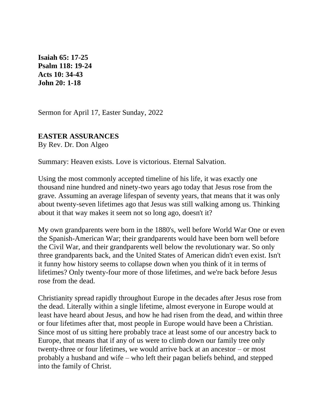**Isaiah 65: 17-25 Psalm 118: 19-24 Acts 10: 34-43 [John 20:](https://lectionary.library.vanderbilt.edu/texts.php?id=122#gospel_reading) 1-18**

Sermon for April 17, Easter Sunday, 2022

## **EASTER ASSURANCES**

By Rev. Dr. Don Algeo

Summary: Heaven exists. Love is victorious. Eternal Salvation.

Using the most commonly accepted timeline of his life, it was exactly one thousand nine hundred and ninety-two years ago today that Jesus rose from the grave. Assuming an average lifespan of seventy years, that means that it was only about twenty-seven lifetimes ago that Jesus was still walking among us. Thinking about it that way makes it seem not so long ago, doesn't it?

My own grandparents were born in the 1880's, well before World War One or even the Spanish-American War; their grandparents would have been born well before the Civil War, and their grandparents well below the revolutionary war. So only three grandparents back, and the United States of American didn't even exist. Isn't it funny how history seems to collapse down when you think of it in terms of lifetimes? Only twenty-four more of those lifetimes, and we're back before Jesus rose from the dead.

Christianity spread rapidly throughout Europe in the decades after Jesus rose from the dead. Literally within a single lifetime, almost everyone in Europe would at least have heard about Jesus, and how he had risen from the dead, and within three or four lifetimes after that, most people in Europe would have been a Christian. Since most of us sitting here probably trace at least some of our ancestry back to Europe, that means that if any of us were to climb down our family tree only twenty-three or four lifetimes, we would arrive back at an ancestor – or most probably a husband and wife – who left their pagan beliefs behind, and stepped into the family of Christ.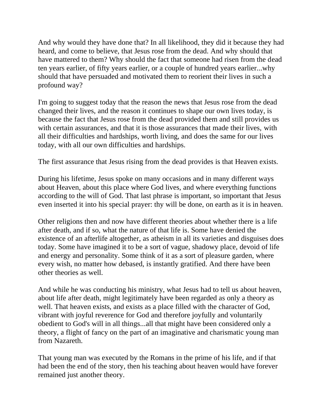And why would they have done that? In all likelihood, they did it because they had heard, and come to believe, that Jesus rose from the dead. And why should that have mattered to them? Why should the fact that someone had risen from the dead ten years earlier, of fifty years earlier, or a couple of hundred years earlier...why should that have persuaded and motivated them to reorient their lives in such a profound way?

I'm going to suggest today that the reason the news that Jesus rose from the dead changed their lives, and the reason it continues to shape our own lives today, is because the fact that Jesus rose from the dead provided them and still provides us with certain assurances, and that it is those assurances that made their lives, with all their difficulties and hardships, worth living, and does the same for our lives today, with all our own difficulties and hardships.

The first assurance that Jesus rising from the dead provides is that Heaven exists.

During his lifetime, Jesus spoke on many occasions and in many different ways about Heaven, about this place where God lives, and where everything functions according to the will of God. That last phrase is important, so important that Jesus even inserted it into his special prayer: thy will be done, on earth as it is in heaven.

Other religions then and now have different theories about whether there is a life after death, and if so, what the nature of that life is. Some have denied the existence of an afterlife altogether, as atheism in all its varieties and disguises does today. Some have imagined it to be a sort of vague, shadowy place, devoid of life and energy and personality. Some think of it as a sort of pleasure garden, where every wish, no matter how debased, is instantly gratified. And there have been other theories as well.

And while he was conducting his ministry, what Jesus had to tell us about heaven, about life after death, might legitimately have been regarded as only a theory as well. That heaven exists, and exists as a place filled with the character of God, vibrant with joyful reverence for God and therefore joyfully and voluntarily obedient to God's will in all things...all that might have been considered only a theory, a flight of fancy on the part of an imaginative and charismatic young man from Nazareth.

That young man was executed by the Romans in the prime of his life, and if that had been the end of the story, then his teaching about heaven would have forever remained just another theory.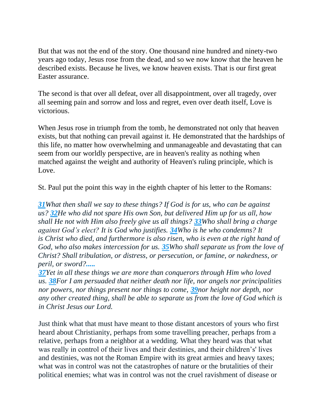But that was not the end of the story. One thousand nine hundred and ninety-two years ago today, Jesus rose from the dead, and so we now know that the heaven he described exists. Because he lives, we know heaven exists. That is our first great Easter assurance.

The second is that over all defeat, over all disappointment, over all tragedy, over all seeming pain and sorrow and loss and regret, even over death itself, Love is victorious.

When Jesus rose in triumph from the tomb, he demonstrated not only that heaven exists, but that nothing can prevail against it. He demonstrated that the hardships of this life, no matter how overwhelming and unmanageable and devastating that can seem from our worldly perspective, are in heaven's reality as nothing when matched against the weight and authority of Heaven's ruling principle, which is Love.

St. Paul put the point this way in the eighth chapter of his letter to the Romans:

*[31](http://biblehub.com/romans/8-31.htm)What then shall we say to these things? If God is for us, who can be against us? [32](http://biblehub.com/romans/8-32.htm)He who did not spare His own Son, but delivered Him up for us all, how shall He not with Him also freely give us all things? [33](http://biblehub.com/romans/8-33.htm)Who shall bring a charge against God's elect? It is God who justifies. [34](http://biblehub.com/romans/8-34.htm)Who is he who condemns? It is Christ who died, and furthermore is also risen, who is even at the right hand of God, who also makes intercession for us. [35](http://biblehub.com/romans/8-35.htm)Who shall separate us from the love of Christ? Shall tribulation, or distress, or persecution, or famine, or nakedness, or peril, or sword?.....*

*[37](http://biblehub.com/romans/8-37.htm)Yet in all these things we are more than conquerors through Him who loved us. [38](http://biblehub.com/romans/8-38.htm)For I am persuaded that neither death nor life, nor angels nor principalities nor powers, nor things present nor things to come, [39](http://biblehub.com/romans/8-39.htm)nor height nor depth, nor any other created thing, shall be able to separate us from the love of God which is in Christ Jesus our Lord.*

Just think what that must have meant to those distant ancestors of yours who first heard about Christianity, perhaps from some travelling preacher, perhaps from a relative, perhaps from a neighbor at a wedding. What they heard was that what was really in control of their lives and their destinies, and their children's' lives and destinies, was not the Roman Empire with its great armies and heavy taxes; what was in control was not the catastrophes of nature or the brutalities of their political enemies; what was in control was not the cruel ravishment of disease or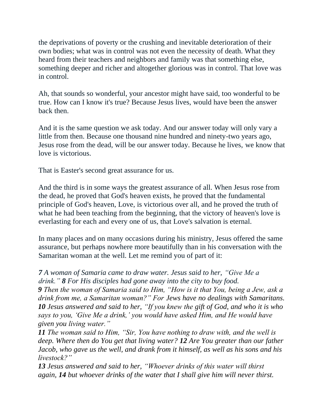the deprivations of poverty or the crushing and inevitable deterioration of their own bodies; what was in control was not even the necessity of death. What they heard from their teachers and neighbors and family was that something else, something deeper and richer and altogether glorious was in control. That love was in control.

Ah, that sounds so wonderful, your ancestor might have said, too wonderful to be true. How can I know it's true? Because Jesus lives, would have been the answer back then.

And it is the same question we ask today. And our answer today will only vary a little from then. Because one thousand nine hundred and ninety-two years ago, Jesus rose from the dead, will be our answer today. Because he lives, we know that love is victorious.

That is Easter's second great assurance for us.

And the third is in some ways the greatest assurance of all. When Jesus rose from the dead, he proved that God's heaven exists, he proved that the fundamental principle of God's heaven, Love, is victorious over all, and he proved the truth of what he had been teaching from the beginning, that the victory of heaven's love is everlasting for each and every one of us, that Love's salvation is eternal.

In many places and on many occasions during his ministry, Jesus offered the same assurance, but perhaps nowhere more beautifully than in his conversation with the Samaritan woman at the well. Let me remind you of part of it:

## *7 A woman of Samaria came to draw water. Jesus said to her, "Give Me a drink." 8 For His disciples had gone away into the city to buy food.*

*9 Then the woman of Samaria said to Him, "How is it that You, being a Jew, ask a drink from me, a Samaritan woman?" For Jews have no dealings with Samaritans. 10 Jesus answered and said to her, "If you knew the gift of God, and who it is who says to you, 'Give Me a drink,' you would have asked Him, and He would have given you living water."*

*11 The woman said to Him, "Sir, You have nothing to draw with, and the well is deep. Where then do You get that living water? 12 Are You greater than our father Jacob, who gave us the well, and drank from it himself, as well as his sons and his livestock?"*

*13 Jesus answered and said to her, "Whoever drinks of this water will thirst again, 14 but whoever drinks of the water that I shall give him will never thirst.*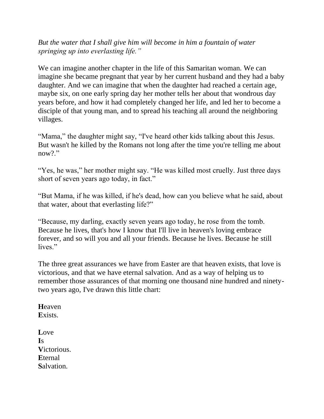*But the water that I shall give him will become in him a fountain of water springing up into everlasting life."*

We can imagine another chapter in the life of this Samaritan woman. We can imagine she became pregnant that year by her current husband and they had a baby daughter. And we can imagine that when the daughter had reached a certain age, maybe six, on one early spring day her mother tells her about that wondrous day years before, and how it had completely changed her life, and led her to become a disciple of that young man, and to spread his teaching all around the neighboring villages.

"Mama," the daughter might say, "I've heard other kids talking about this Jesus. But wasn't he killed by the Romans not long after the time you're telling me about now?."

"Yes, he was," her mother might say. "He was killed most cruelly. Just three days short of seven years ago today, in fact."

"But Mama, if he was killed, if he's dead, how can you believe what he said, about that water, about that everlasting life?"

"Because, my darling, exactly seven years ago today, he rose from the tomb. Because he lives, that's how I know that I'll live in heaven's loving embrace forever, and so will you and all your friends. Because he lives. Because he still lives."

The three great assurances we have from Easter are that heaven exists, that love is victorious, and that we have eternal salvation. And as a way of helping us to remember those assurances of that morning one thousand nine hundred and ninetytwo years ago, I've drawn this little chart:

**H**eaven **E**xists.

**L**ove **I**s **V**ictorious. **E**ternal **S**alvation.